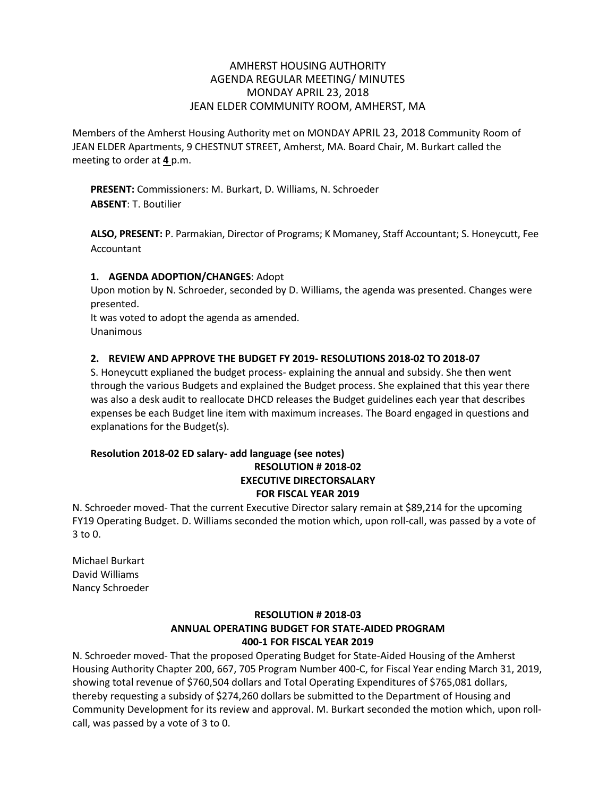# AMHERST HOUSING AUTHORITY AGENDA REGULAR MEETING/ MINUTES MONDAY APRIL 23, 2018 JEAN ELDER COMMUNITY ROOM, AMHERST, MA

Members of the Amherst Housing Authority met on MONDAY APRIL 23, 2018 Community Room of JEAN ELDER Apartments, 9 CHESTNUT STREET, Amherst, MA. Board Chair, M. Burkart called the meeting to order at **4** p.m.

**PRESENT:** Commissioners: M. Burkart, D. Williams, N. Schroeder **ABSENT**: T. Boutilier

**ALSO, PRESENT:** P. Parmakian, Director of Programs; K Momaney, Staff Accountant; S. Honeycutt, Fee Accountant

# **1. AGENDA ADOPTION/CHANGES**: Adopt

Upon motion by N. Schroeder, seconded by D. Williams, the agenda was presented. Changes were presented.

It was voted to adopt the agenda as amended. Unanimous

# **2. REVIEW AND APPROVE THE BUDGET FY 2019- RESOLUTIONS 2018-02 TO 2018-07**

S. Honeycutt explianed the budget process- explaining the annual and subsidy. She then went through the various Budgets and explained the Budget process. She explained that this year there was also a desk audit to reallocate DHCD releases the Budget guidelines each year that describes expenses be each Budget line item with maximum increases. The Board engaged in questions and explanations for the Budget(s).

### **Resolution 2018-02 ED salary- add language (see notes) RESOLUTION # 2018-02 EXECUTIVE DIRECTORSALARY FOR FISCAL YEAR 2019**

N. Schroeder moved- That the current Executive Director salary remain at \$89,214 for the upcoming FY19 Operating Budget. D. Williams seconded the motion which, upon roll-call, was passed by a vote of 3 to 0.

Michael Burkart David Williams Nancy Schroeder

# **RESOLUTION # 2018-03 ANNUAL OPERATING BUDGET FOR STATE-AIDED PROGRAM 400-1 FOR FISCAL YEAR 2019**

N. Schroeder moved- That the proposed Operating Budget for State-Aided Housing of the Amherst Housing Authority Chapter 200, 667, 705 Program Number 400-C, for Fiscal Year ending March 31, 2019, showing total revenue of \$760,504 dollars and Total Operating Expenditures of \$765,081 dollars, thereby requesting a subsidy of \$274,260 dollars be submitted to the Department of Housing and Community Development for its review and approval. M. Burkart seconded the motion which, upon rollcall, was passed by a vote of 3 to 0.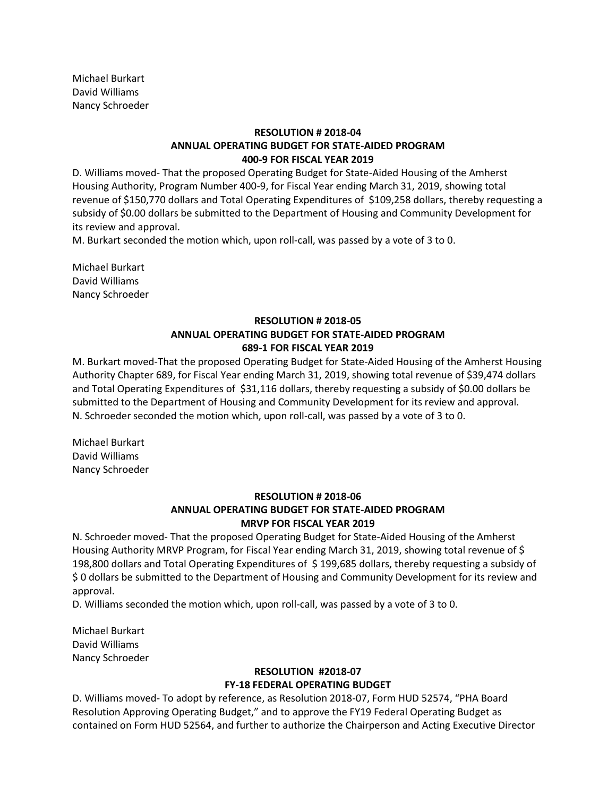Michael Burkart David Williams Nancy Schroeder

# **RESOLUTION # 2018-04 ANNUAL OPERATING BUDGET FOR STATE-AIDED PROGRAM 400-9 FOR FISCAL YEAR 2019**

D. Williams moved- That the proposed Operating Budget for State-Aided Housing of the Amherst Housing Authority, Program Number 400-9, for Fiscal Year ending March 31, 2019, showing total revenue of \$150,770 dollars and Total Operating Expenditures of \$109,258 dollars, thereby requesting a subsidy of \$0.00 dollars be submitted to the Department of Housing and Community Development for its review and approval.

M. Burkart seconded the motion which, upon roll-call, was passed by a vote of 3 to 0.

Michael Burkart David Williams Nancy Schroeder

# **RESOLUTION # 2018-05 ANNUAL OPERATING BUDGET FOR STATE-AIDED PROGRAM 689-1 FOR FISCAL YEAR 2019**

M. Burkart moved-That the proposed Operating Budget for State-Aided Housing of the Amherst Housing Authority Chapter 689, for Fiscal Year ending March 31, 2019, showing total revenue of \$39,474 dollars and Total Operating Expenditures of \$31,116 dollars, thereby requesting a subsidy of \$0.00 dollars be submitted to the Department of Housing and Community Development for its review and approval. N. Schroeder seconded the motion which, upon roll-call, was passed by a vote of 3 to 0.

Michael Burkart David Williams Nancy Schroeder

#### **RESOLUTION # 2018-06**

# **ANNUAL OPERATING BUDGET FOR STATE-AIDED PROGRAM MRVP FOR FISCAL YEAR 2019**

N. Schroeder moved- That the proposed Operating Budget for State-Aided Housing of the Amherst Housing Authority MRVP Program, for Fiscal Year ending March 31, 2019, showing total revenue of \$ 198,800 dollars and Total Operating Expenditures of \$ 199,685 dollars, thereby requesting a subsidy of \$ 0 dollars be submitted to the Department of Housing and Community Development for its review and approval.

D. Williams seconded the motion which, upon roll-call, was passed by a vote of 3 to 0.

Michael Burkart David Williams Nancy Schroeder

### **RESOLUTION #2018-07 FY-18 FEDERAL OPERATING BUDGET**

D. Williams moved- To adopt by reference, as Resolution 2018-07, Form HUD 52574, "PHA Board Resolution Approving Operating Budget," and to approve the FY19 Federal Operating Budget as contained on Form HUD 52564, and further to authorize the Chairperson and Acting Executive Director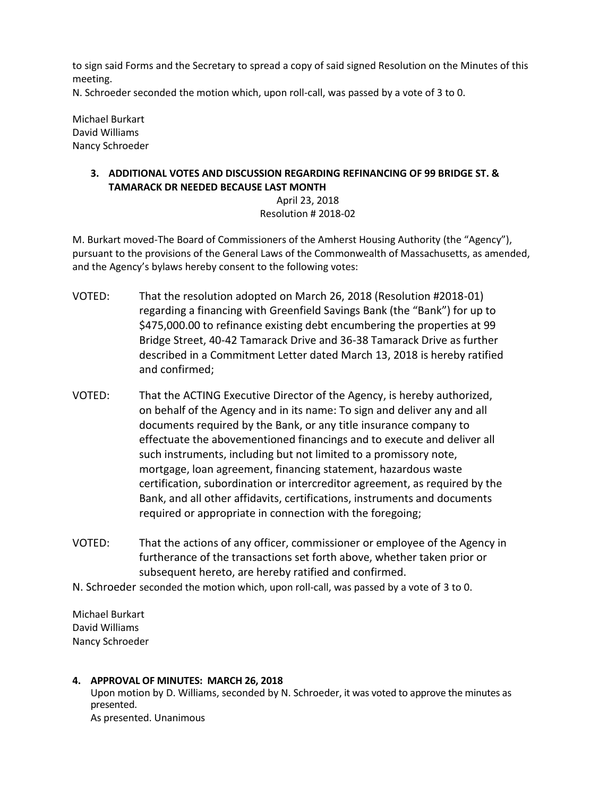to sign said Forms and the Secretary to spread a copy of said signed Resolution on the Minutes of this meeting.

N. Schroeder seconded the motion which, upon roll-call, was passed by a vote of 3 to 0.

Michael Burkart David Williams Nancy Schroeder

# **3. ADDITIONAL VOTES AND DISCUSSION REGARDING REFINANCING OF 99 BRIDGE ST. & TAMARACK DR NEEDED BECAUSE LAST MONTH**

# April 23, 2018 Resolution # 2018-02

M. Burkart moved-The Board of Commissioners of the Amherst Housing Authority (the "Agency"), pursuant to the provisions of the General Laws of the Commonwealth of Massachusetts, as amended, and the Agency's bylaws hereby consent to the following votes:

- VOTED: That the resolution adopted on March 26, 2018 (Resolution #2018-01) regarding a financing with Greenfield Savings Bank (the "Bank") for up to \$475,000.00 to refinance existing debt encumbering the properties at 99 Bridge Street, 40-42 Tamarack Drive and 36-38 Tamarack Drive as further described in a Commitment Letter dated March 13, 2018 is hereby ratified and confirmed;
- VOTED: That the ACTING Executive Director of the Agency, is hereby authorized, on behalf of the Agency and in its name: To sign and deliver any and all documents required by the Bank, or any title insurance company to effectuate the abovementioned financings and to execute and deliver all such instruments, including but not limited to a promissory note, mortgage, loan agreement, financing statement, hazardous waste certification, subordination or intercreditor agreement, as required by the Bank, and all other affidavits, certifications, instruments and documents required or appropriate in connection with the foregoing;
- VOTED: That the actions of any officer, commissioner or employee of the Agency in furtherance of the transactions set forth above, whether taken prior or subsequent hereto, are hereby ratified and confirmed.
- N. Schroeder seconded the motion which, upon roll-call, was passed by a vote of 3 to 0.

Michael Burkart David Williams Nancy Schroeder

### **4. APPROVAL OF MINUTES: MARCH 26, 2018** Upon motion by D. Williams, seconded by N. Schroeder, it was voted to approve the minutes as presented. As presented. Unanimous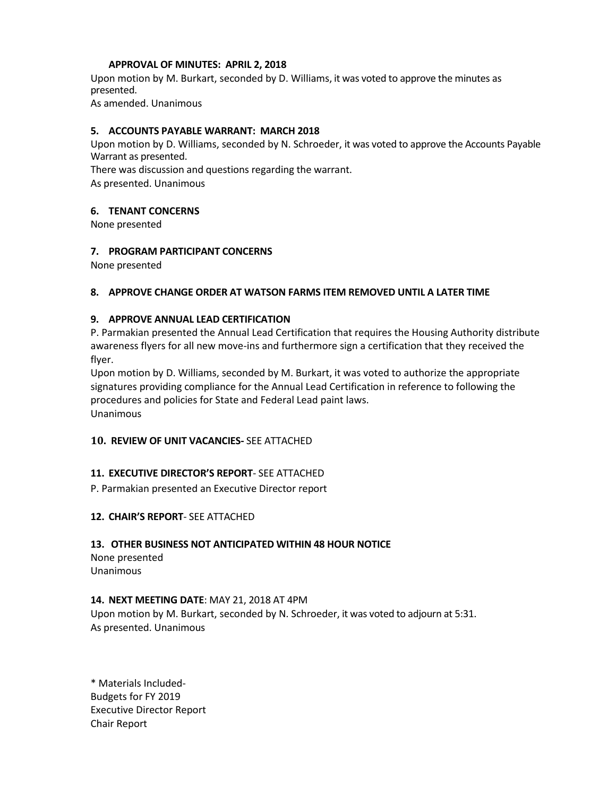### **APPROVAL OF MINUTES: APRIL 2, 2018**

Upon motion by M. Burkart, seconded by D. Williams, it was voted to approve the minutes as presented.

As amended. Unanimous

### **5. ACCOUNTS PAYABLE WARRANT: MARCH 2018**

Upon motion by D. Williams, seconded by N. Schroeder, it was voted to approve the Accounts Payable Warrant as presented.

There was discussion and questions regarding the warrant. As presented. Unanimous

### **6. TENANT CONCERNS**

None presented

### **7. PROGRAM PARTICIPANT CONCERNS**

None presented

### **8. APPROVE CHANGE ORDER AT WATSON FARMS ITEM REMOVED UNTIL A LATER TIME**

### **9. APPROVE ANNUAL LEAD CERTIFICATION**

P. Parmakian presented the Annual Lead Certification that requires the Housing Authority distribute awareness flyers for all new move-ins and furthermore sign a certification that they received the flyer.

Upon motion by D. Williams, seconded by M. Burkart, it was voted to authorize the appropriate signatures providing compliance for the Annual Lead Certification in reference to following the procedures and policies for State and Federal Lead paint laws. Unanimous

#### **10. REVIEW OF UNIT VACANCIES-** SEE ATTACHED

### **11. EXECUTIVE DIRECTOR'S REPORT**- SEE ATTACHED

P. Parmakian presented an Executive Director report

### **12. CHAIR'S REPORT**- SEE ATTACHED

#### **13. OTHER BUSINESS NOT ANTICIPATED WITHIN 48 HOUR NOTICE**

None presented Unanimous

#### **14. NEXT MEETING DATE**: MAY 21, 2018 AT 4PM

Upon motion by M. Burkart, seconded by N. Schroeder, it was voted to adjourn at 5:31. As presented. Unanimous

\* Materials Included-Budgets for FY 2019 Executive Director Report Chair Report